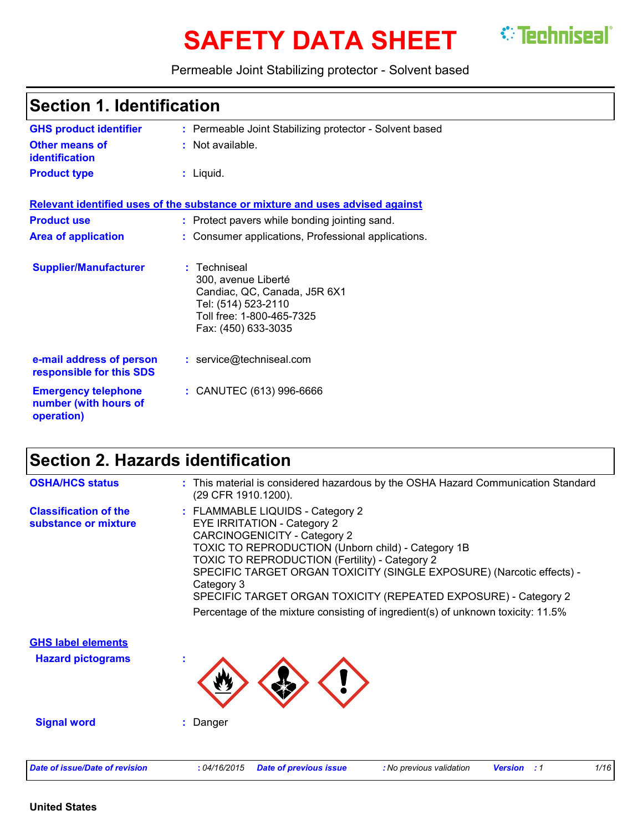# **SAFETY DATA SHEET** *C* Techniseal

Permeable Joint Stabilizing protector - Solvent based

| <b>Section 1. Identification</b>                                  |                                                                                                                                                |  |
|-------------------------------------------------------------------|------------------------------------------------------------------------------------------------------------------------------------------------|--|
| <b>GHS product identifier</b>                                     | : Permeable Joint Stabilizing protector - Solvent based                                                                                        |  |
| Other means of<br><b>identification</b>                           | : Not available.                                                                                                                               |  |
| <b>Product type</b>                                               | $:$ Liquid.                                                                                                                                    |  |
|                                                                   | Relevant identified uses of the substance or mixture and uses advised against                                                                  |  |
| <b>Product use</b>                                                | : Protect pavers while bonding jointing sand.                                                                                                  |  |
| <b>Area of application</b>                                        | : Consumer applications, Professional applications.                                                                                            |  |
| <b>Supplier/Manufacturer</b>                                      | : Techniseal<br>300, avenue Liberté<br>Candiac, QC, Canada, J5R 6X1<br>Tel: (514) 523-2110<br>Toll free: 1-800-465-7325<br>Fax: (450) 633-3035 |  |
| e-mail address of person<br>responsible for this SDS              | : service@techniseal.com                                                                                                                       |  |
| <b>Emergency telephone</b><br>number (with hours of<br>operation) | : CANUTEC (613) 996-6666                                                                                                                       |  |

# **Section 2. Hazards identification**

| <b>OSHA/HCS status</b>                                | : This material is considered hazardous by the OSHA Hazard Communication Standard<br>(29 CFR 1910.1200).                                                                                                                                                                                                                                                                                                                                                                   |
|-------------------------------------------------------|----------------------------------------------------------------------------------------------------------------------------------------------------------------------------------------------------------------------------------------------------------------------------------------------------------------------------------------------------------------------------------------------------------------------------------------------------------------------------|
| <b>Classification of the</b><br>substance or mixture  | : FLAMMABLE LIQUIDS - Category 2<br><b>EYE IRRITATION - Category 2</b><br><b>CARCINOGENICITY - Category 2</b><br>TOXIC TO REPRODUCTION (Unborn child) - Category 1B<br><b>TOXIC TO REPRODUCTION (Fertility) - Category 2</b><br>SPECIFIC TARGET ORGAN TOXICITY (SINGLE EXPOSURE) (Narcotic effects) -<br>Category 3<br>SPECIFIC TARGET ORGAN TOXICITY (REPEATED EXPOSURE) - Category 2<br>Percentage of the mixture consisting of ingredient(s) of unknown toxicity: 11.5% |
| <b>GHS label elements</b><br><b>Hazard pictograms</b> |                                                                                                                                                                                                                                                                                                                                                                                                                                                                            |
| <b>Signal word</b>                                    | : Danger                                                                                                                                                                                                                                                                                                                                                                                                                                                                   |
| <b>Date of issue/Date of revision</b>                 | 1/16<br>: 04/16/2015<br><b>Date of previous issue</b><br>: No previous validation<br><b>Version</b><br>: 1                                                                                                                                                                                                                                                                                                                                                                 |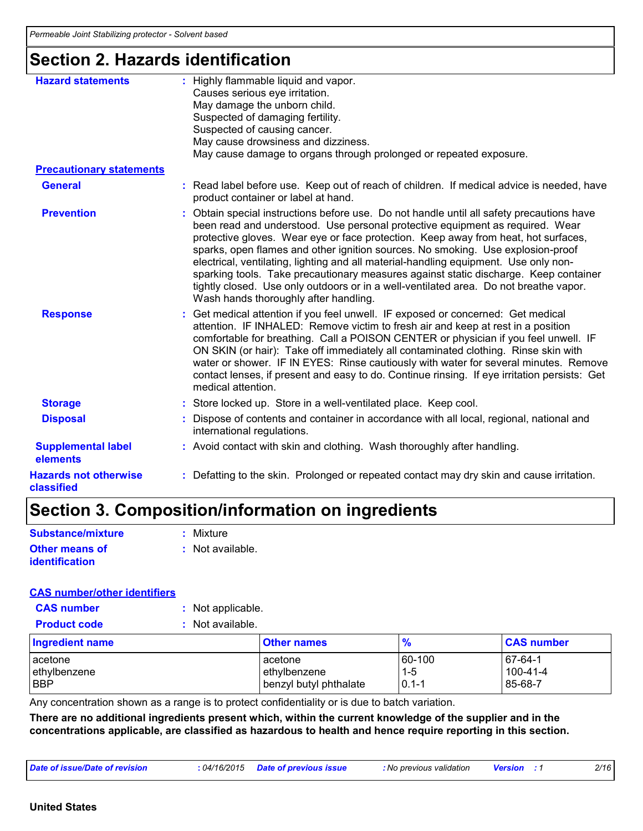# **Section 2. Hazards identification**

| <b>Hazard statements</b>                   | : Highly flammable liquid and vapor.<br>Causes serious eye irritation.<br>May damage the unborn child.<br>Suspected of damaging fertility.<br>Suspected of causing cancer.<br>May cause drowsiness and dizziness.<br>May cause damage to organs through prolonged or repeated exposure.                                                                                                                                                                                                                                                                                                                                                                               |
|--------------------------------------------|-----------------------------------------------------------------------------------------------------------------------------------------------------------------------------------------------------------------------------------------------------------------------------------------------------------------------------------------------------------------------------------------------------------------------------------------------------------------------------------------------------------------------------------------------------------------------------------------------------------------------------------------------------------------------|
| <b>Precautionary statements</b>            |                                                                                                                                                                                                                                                                                                                                                                                                                                                                                                                                                                                                                                                                       |
| <b>General</b>                             | : Read label before use. Keep out of reach of children. If medical advice is needed, have<br>product container or label at hand.                                                                                                                                                                                                                                                                                                                                                                                                                                                                                                                                      |
| <b>Prevention</b>                          | : Obtain special instructions before use. Do not handle until all safety precautions have<br>been read and understood. Use personal protective equipment as required. Wear<br>protective gloves. Wear eye or face protection. Keep away from heat, hot surfaces,<br>sparks, open flames and other ignition sources. No smoking. Use explosion-proof<br>electrical, ventilating, lighting and all material-handling equipment. Use only non-<br>sparking tools. Take precautionary measures against static discharge. Keep container<br>tightly closed. Use only outdoors or in a well-ventilated area. Do not breathe vapor.<br>Wash hands thoroughly after handling. |
| <b>Response</b>                            | : Get medical attention if you feel unwell. IF exposed or concerned: Get medical<br>attention. IF INHALED: Remove victim to fresh air and keep at rest in a position<br>comfortable for breathing. Call a POISON CENTER or physician if you feel unwell. IF<br>ON SKIN (or hair): Take off immediately all contaminated clothing. Rinse skin with<br>water or shower. IF IN EYES: Rinse cautiously with water for several minutes. Remove<br>contact lenses, if present and easy to do. Continue rinsing. If eye irritation persists: Get<br>medical attention.                                                                                                       |
| <b>Storage</b>                             | : Store locked up. Store in a well-ventilated place. Keep cool.                                                                                                                                                                                                                                                                                                                                                                                                                                                                                                                                                                                                       |
| <b>Disposal</b>                            | : Dispose of contents and container in accordance with all local, regional, national and<br>international regulations.                                                                                                                                                                                                                                                                                                                                                                                                                                                                                                                                                |
| <b>Supplemental label</b><br>elements      | : Avoid contact with skin and clothing. Wash thoroughly after handling.                                                                                                                                                                                                                                                                                                                                                                                                                                                                                                                                                                                               |
| <b>Hazards not otherwise</b><br>classified | : Defatting to the skin. Prolonged or repeated contact may dry skin and cause irritation.                                                                                                                                                                                                                                                                                                                                                                                                                                                                                                                                                                             |

# **Section 3. Composition/information on ingredients**

| Substance/mixture     | : Mixture        |
|-----------------------|------------------|
| <b>Other means of</b> | : Not available. |
| <b>identification</b> |                  |

#### **CAS number/other identifiers**

| <b>CAS number</b>                 | : Not applicable. |                                                   |                                |                                        |
|-----------------------------------|-------------------|---------------------------------------------------|--------------------------------|----------------------------------------|
| <b>Product code</b>               | : Not available.  |                                                   |                                |                                        |
| <b>Ingredient name</b>            |                   | <b>Other names</b>                                | $\frac{9}{6}$                  | <b>CAS number</b>                      |
| lacetone<br>ethylbenzene<br>l BBP |                   | acetone<br>ethylbenzene<br>benzyl butyl phthalate | 60-100<br>$1 - 5$<br>$0.1 - 1$ | $67-64-1$<br>$100 - 41 - 4$<br>85-68-7 |

Any concentration shown as a range is to protect confidentiality or is due to batch variation.

**There are no additional ingredients present which, within the current knowledge of the supplier and in the concentrations applicable, are classified as hazardous to health and hence require reporting in this section.**

| Date of issue/Date of revision<br>: 04/16/2015 | <b>Date of previous issue</b> | <b>:</b> No previous validation | <b>Version</b> | 2/16 |
|------------------------------------------------|-------------------------------|---------------------------------|----------------|------|
|------------------------------------------------|-------------------------------|---------------------------------|----------------|------|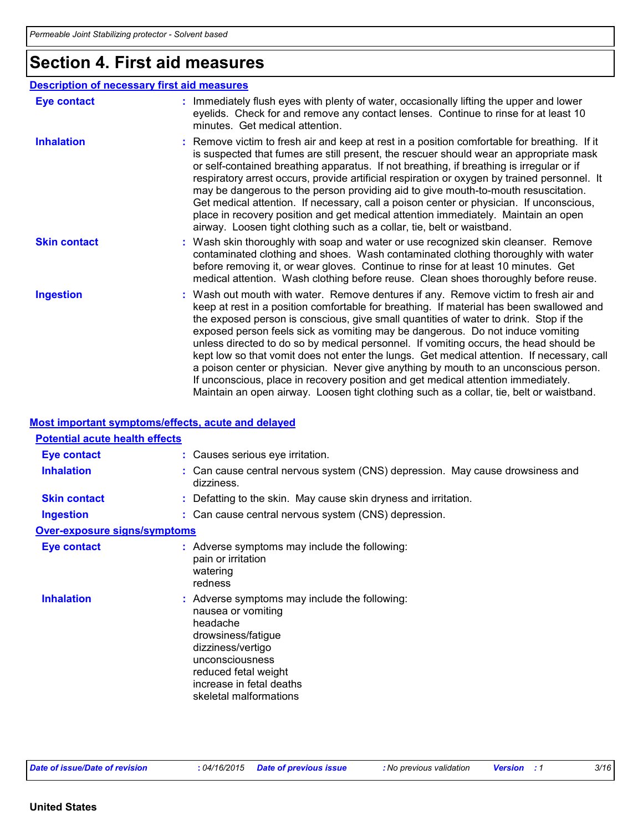# **Section 4. First aid measures**

|                     | <b>Description of necessary first aid measures</b>                                                                                                                                                                                                                                                                                                                                                                                                                                                                                                                                                                                                                                                                                                                                                                         |
|---------------------|----------------------------------------------------------------------------------------------------------------------------------------------------------------------------------------------------------------------------------------------------------------------------------------------------------------------------------------------------------------------------------------------------------------------------------------------------------------------------------------------------------------------------------------------------------------------------------------------------------------------------------------------------------------------------------------------------------------------------------------------------------------------------------------------------------------------------|
| <b>Eye contact</b>  | : Immediately flush eyes with plenty of water, occasionally lifting the upper and lower<br>eyelids. Check for and remove any contact lenses. Continue to rinse for at least 10<br>minutes. Get medical attention.                                                                                                                                                                                                                                                                                                                                                                                                                                                                                                                                                                                                          |
| <b>Inhalation</b>   | : Remove victim to fresh air and keep at rest in a position comfortable for breathing. If it<br>is suspected that fumes are still present, the rescuer should wear an appropriate mask<br>or self-contained breathing apparatus. If not breathing, if breathing is irregular or if<br>respiratory arrest occurs, provide artificial respiration or oxygen by trained personnel. It<br>may be dangerous to the person providing aid to give mouth-to-mouth resuscitation.<br>Get medical attention. If necessary, call a poison center or physician. If unconscious,<br>place in recovery position and get medical attention immediately. Maintain an open<br>airway. Loosen tight clothing such as a collar, tie, belt or waistband.                                                                                       |
| <b>Skin contact</b> | : Wash skin thoroughly with soap and water or use recognized skin cleanser. Remove<br>contaminated clothing and shoes. Wash contaminated clothing thoroughly with water<br>before removing it, or wear gloves. Continue to rinse for at least 10 minutes. Get<br>medical attention. Wash clothing before reuse. Clean shoes thoroughly before reuse.                                                                                                                                                                                                                                                                                                                                                                                                                                                                       |
| <b>Ingestion</b>    | : Wash out mouth with water. Remove dentures if any. Remove victim to fresh air and<br>keep at rest in a position comfortable for breathing. If material has been swallowed and<br>the exposed person is conscious, give small quantities of water to drink. Stop if the<br>exposed person feels sick as vomiting may be dangerous. Do not induce vomiting<br>unless directed to do so by medical personnel. If vomiting occurs, the head should be<br>kept low so that vomit does not enter the lungs. Get medical attention. If necessary, call<br>a poison center or physician. Never give anything by mouth to an unconscious person.<br>If unconscious, place in recovery position and get medical attention immediately.<br>Maintain an open airway. Loosen tight clothing such as a collar, tie, belt or waistband. |

#### **Most important symptoms/effects, acute and delayed**

| <b>Potential acute health effects</b> |                                                                                                                                                                                                                             |
|---------------------------------------|-----------------------------------------------------------------------------------------------------------------------------------------------------------------------------------------------------------------------------|
| <b>Eye contact</b>                    | : Causes serious eye irritation.                                                                                                                                                                                            |
| <b>Inhalation</b>                     | : Can cause central nervous system (CNS) depression. May cause drowsiness and<br>dizziness.                                                                                                                                 |
| <b>Skin contact</b>                   | : Defatting to the skin. May cause skin dryness and irritation.                                                                                                                                                             |
| <b>Ingestion</b>                      | : Can cause central nervous system (CNS) depression.                                                                                                                                                                        |
| <b>Over-exposure signs/symptoms</b>   |                                                                                                                                                                                                                             |
| <b>Eye contact</b>                    | : Adverse symptoms may include the following:<br>pain or irritation<br>watering<br>redness                                                                                                                                  |
| <b>Inhalation</b>                     | : Adverse symptoms may include the following:<br>nausea or vomiting<br>headache<br>drowsiness/fatigue<br>dizziness/vertigo<br>unconsciousness<br>reduced fetal weight<br>increase in fetal deaths<br>skeletal malformations |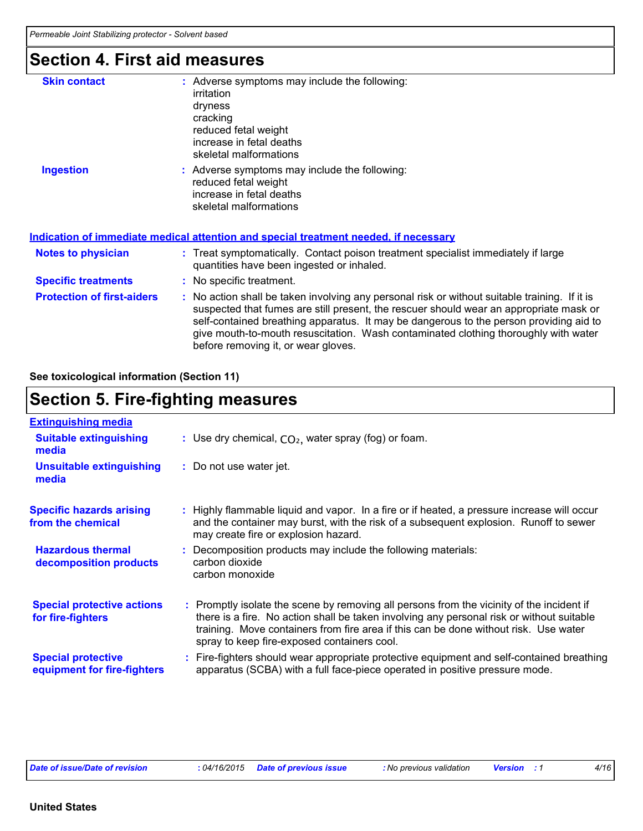## **Section 4. First aid measures**

| <b>Skin contact</b>               | : Adverse symptoms may include the following:<br>irritation<br>dryness<br>cracking<br>reduced fetal weight<br>increase in fetal deaths<br>skeletal malformations                                                                                                                                                                                                                                                |  |
|-----------------------------------|-----------------------------------------------------------------------------------------------------------------------------------------------------------------------------------------------------------------------------------------------------------------------------------------------------------------------------------------------------------------------------------------------------------------|--|
| <b>Ingestion</b>                  | : Adverse symptoms may include the following:<br>reduced fetal weight<br>increase in fetal deaths<br>skeletal malformations<br><u>Indication of immediate medical attention and special treatment needed, if necessary</u>                                                                                                                                                                                      |  |
|                                   |                                                                                                                                                                                                                                                                                                                                                                                                                 |  |
| <b>Notes to physician</b>         | : Treat symptomatically. Contact poison treatment specialist immediately if large<br>quantities have been ingested or inhaled.                                                                                                                                                                                                                                                                                  |  |
| <b>Specific treatments</b>        | : No specific treatment.                                                                                                                                                                                                                                                                                                                                                                                        |  |
| <b>Protection of first-aiders</b> | : No action shall be taken involving any personal risk or without suitable training. If it is<br>suspected that fumes are still present, the rescuer should wear an appropriate mask or<br>self-contained breathing apparatus. It may be dangerous to the person providing aid to<br>give mouth-to-mouth resuscitation. Wash contaminated clothing thoroughly with water<br>before removing it, or wear gloves. |  |

**See toxicological information (Section 11)**

## **Section 5. Fire-fighting measures**

| <b>Extinguishing media</b>                               |                                                                                                                                                                                                                                                                                                                               |
|----------------------------------------------------------|-------------------------------------------------------------------------------------------------------------------------------------------------------------------------------------------------------------------------------------------------------------------------------------------------------------------------------|
|                                                          |                                                                                                                                                                                                                                                                                                                               |
| <b>Suitable extinguishing</b><br>media                   | : Use dry chemical, $CO2$ , water spray (fog) or foam.                                                                                                                                                                                                                                                                        |
| <b>Unsuitable extinguishing</b><br>media                 | : Do not use water jet.                                                                                                                                                                                                                                                                                                       |
| <b>Specific hazards arising</b><br>from the chemical     | : Highly flammable liquid and vapor. In a fire or if heated, a pressure increase will occur<br>and the container may burst, with the risk of a subsequent explosion. Runoff to sewer<br>may create fire or explosion hazard.                                                                                                  |
| <b>Hazardous thermal</b><br>decomposition products       | : Decomposition products may include the following materials:<br>carbon dioxide<br>carbon monoxide                                                                                                                                                                                                                            |
| <b>Special protective actions</b><br>for fire-fighters   | : Promptly isolate the scene by removing all persons from the vicinity of the incident if<br>there is a fire. No action shall be taken involving any personal risk or without suitable<br>training. Move containers from fire area if this can be done without risk. Use water<br>spray to keep fire-exposed containers cool. |
| <b>Special protective</b><br>equipment for fire-fighters | : Fire-fighters should wear appropriate protective equipment and self-contained breathing<br>apparatus (SCBA) with a full face-piece operated in positive pressure mode.                                                                                                                                                      |

*Date of issue/Date of revision* **:** *04/16/2015 Date of previous issue : No previous validation Version : 1 4/16*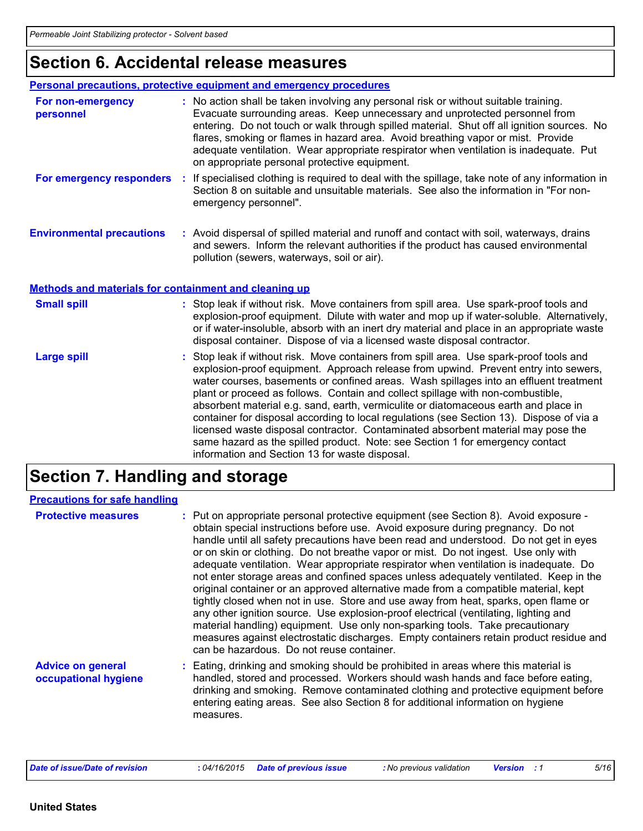# **Section 6. Accidental release measures**

|                                                              | Personal precautions, protective equipment and emergency procedures                                                                                                                                                                                                                                                                                                                                                                                                                                                                                                                                                                                                                                                |
|--------------------------------------------------------------|--------------------------------------------------------------------------------------------------------------------------------------------------------------------------------------------------------------------------------------------------------------------------------------------------------------------------------------------------------------------------------------------------------------------------------------------------------------------------------------------------------------------------------------------------------------------------------------------------------------------------------------------------------------------------------------------------------------------|
| For non-emergency<br>personnel                               | : No action shall be taken involving any personal risk or without suitable training.<br>Evacuate surrounding areas. Keep unnecessary and unprotected personnel from<br>entering. Do not touch or walk through spilled material. Shut off all ignition sources. No<br>flares, smoking or flames in hazard area. Avoid breathing vapor or mist. Provide<br>adequate ventilation. Wear appropriate respirator when ventilation is inadequate. Put<br>on appropriate personal protective equipment.                                                                                                                                                                                                                    |
| For emergency responders                                     | If specialised clothing is required to deal with the spillage, take note of any information in<br>Section 8 on suitable and unsuitable materials. See also the information in "For non-<br>emergency personnel".                                                                                                                                                                                                                                                                                                                                                                                                                                                                                                   |
| <b>Environmental precautions</b>                             | : Avoid dispersal of spilled material and runoff and contact with soil, waterways, drains<br>and sewers. Inform the relevant authorities if the product has caused environmental<br>pollution (sewers, waterways, soil or air).                                                                                                                                                                                                                                                                                                                                                                                                                                                                                    |
| <b>Methods and materials for containment and cleaning up</b> |                                                                                                                                                                                                                                                                                                                                                                                                                                                                                                                                                                                                                                                                                                                    |
| <b>Small spill</b>                                           | : Stop leak if without risk. Move containers from spill area. Use spark-proof tools and<br>explosion-proof equipment. Dilute with water and mop up if water-soluble. Alternatively,<br>or if water-insoluble, absorb with an inert dry material and place in an appropriate waste<br>disposal container. Dispose of via a licensed waste disposal contractor.                                                                                                                                                                                                                                                                                                                                                      |
| <b>Large spill</b>                                           | : Stop leak if without risk. Move containers from spill area. Use spark-proof tools and<br>explosion-proof equipment. Approach release from upwind. Prevent entry into sewers,<br>water courses, basements or confined areas. Wash spillages into an effluent treatment<br>plant or proceed as follows. Contain and collect spillage with non-combustible,<br>absorbent material e.g. sand, earth, vermiculite or diatomaceous earth and place in<br>container for disposal according to local regulations (see Section 13). Dispose of via a<br>licensed waste disposal contractor. Contaminated absorbent material may pose the<br>same hazard as the spilled product. Note: see Section 1 for emergency contact |

# **Section 7. Handling and storage**

| <b>Precautions for safe handling</b>             |                                                                                                                                                                                                                                                                                                                                                                                                                                                                                                                                                                                                                                                                                                                                                                                                                                                                                                                                                                                                                                       |
|--------------------------------------------------|---------------------------------------------------------------------------------------------------------------------------------------------------------------------------------------------------------------------------------------------------------------------------------------------------------------------------------------------------------------------------------------------------------------------------------------------------------------------------------------------------------------------------------------------------------------------------------------------------------------------------------------------------------------------------------------------------------------------------------------------------------------------------------------------------------------------------------------------------------------------------------------------------------------------------------------------------------------------------------------------------------------------------------------|
| <b>Protective measures</b>                       | : Put on appropriate personal protective equipment (see Section 8). Avoid exposure -<br>obtain special instructions before use. Avoid exposure during pregnancy. Do not<br>handle until all safety precautions have been read and understood. Do not get in eyes<br>or on skin or clothing. Do not breathe vapor or mist. Do not ingest. Use only with<br>adequate ventilation. Wear appropriate respirator when ventilation is inadequate. Do<br>not enter storage areas and confined spaces unless adequately ventilated. Keep in the<br>original container or an approved alternative made from a compatible material, kept<br>tightly closed when not in use. Store and use away from heat, sparks, open flame or<br>any other ignition source. Use explosion-proof electrical (ventilating, lighting and<br>material handling) equipment. Use only non-sparking tools. Take precautionary<br>measures against electrostatic discharges. Empty containers retain product residue and<br>can be hazardous. Do not reuse container. |
| <b>Advice on general</b><br>occupational hygiene | : Eating, drinking and smoking should be prohibited in areas where this material is<br>handled, stored and processed. Workers should wash hands and face before eating,<br>drinking and smoking. Remove contaminated clothing and protective equipment before<br>entering eating areas. See also Section 8 for additional information on hygiene<br>measures.                                                                                                                                                                                                                                                                                                                                                                                                                                                                                                                                                                                                                                                                         |

information and Section 13 for waste disposal.

| Date of issue/Date of revision | : 04/16/2015 Date of previous issue | : No previous validation | <b>Version</b> : 1 | 5/16 |
|--------------------------------|-------------------------------------|--------------------------|--------------------|------|
|--------------------------------|-------------------------------------|--------------------------|--------------------|------|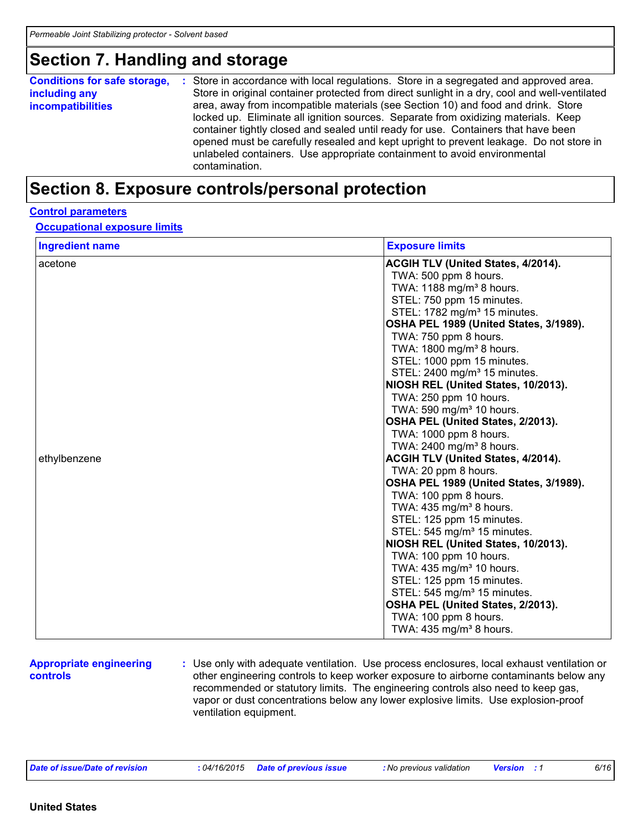### **Section 7. Handling and storage**

| <b>Conditions for safe storage,</b> | : Store in accordance with local regulations. Store in a segregated and approved area.        |  |  |  |  |  |
|-------------------------------------|-----------------------------------------------------------------------------------------------|--|--|--|--|--|
| including any                       | Store in original container protected from direct sunlight in a dry, cool and well-ventilated |  |  |  |  |  |
| <b>incompatibilities</b>            | area, away from incompatible materials (see Section 10) and food and drink. Store             |  |  |  |  |  |
|                                     | locked up. Eliminate all ignition sources. Separate from oxidizing materials. Keep            |  |  |  |  |  |
|                                     | container tightly closed and sealed until ready for use. Containers that have been            |  |  |  |  |  |
|                                     | opened must be carefully resealed and kept upright to prevent leakage. Do not store in        |  |  |  |  |  |
|                                     | unlabeled containers. Use appropriate containment to avoid environmental<br>contamination.    |  |  |  |  |  |

### **Section 8. Exposure controls/personal protection**

#### **Control parameters**

#### **Occupational exposure limits**

| <b>Ingredient name</b>  | <b>Exposure limits</b>                                                                                                                                                                                                                                                                                                                                                                                                                                                                                                                                                                                                                                                                                                                                                                                                                                                                                                                                                                                                           |
|-------------------------|----------------------------------------------------------------------------------------------------------------------------------------------------------------------------------------------------------------------------------------------------------------------------------------------------------------------------------------------------------------------------------------------------------------------------------------------------------------------------------------------------------------------------------------------------------------------------------------------------------------------------------------------------------------------------------------------------------------------------------------------------------------------------------------------------------------------------------------------------------------------------------------------------------------------------------------------------------------------------------------------------------------------------------|
| acetone<br>ethylbenzene | <b>ACGIH TLV (United States, 4/2014).</b><br>TWA: 500 ppm 8 hours.<br>TWA: 1188 mg/m <sup>3</sup> 8 hours.<br>STEL: 750 ppm 15 minutes.<br>STEL: 1782 mg/m <sup>3</sup> 15 minutes.<br>OSHA PEL 1989 (United States, 3/1989).<br>TWA: 750 ppm 8 hours.<br>TWA: 1800 mg/m <sup>3</sup> 8 hours.<br>STEL: 1000 ppm 15 minutes.<br>STEL: 2400 mg/m <sup>3</sup> 15 minutes.<br>NIOSH REL (United States, 10/2013).<br>TWA: 250 ppm 10 hours.<br>TWA: 590 mg/m <sup>3</sup> 10 hours.<br>OSHA PEL (United States, 2/2013).<br>TWA: 1000 ppm 8 hours.<br>TWA: 2400 mg/m <sup>3</sup> 8 hours.<br><b>ACGIH TLV (United States, 4/2014).</b><br>TWA: 20 ppm 8 hours.<br>OSHA PEL 1989 (United States, 3/1989).<br>TWA: 100 ppm 8 hours.<br>TWA: 435 mg/m <sup>3</sup> 8 hours.<br>STEL: 125 ppm 15 minutes.<br>STEL: 545 mg/m <sup>3</sup> 15 minutes.<br>NIOSH REL (United States, 10/2013).<br>TWA: 100 ppm 10 hours.<br>TWA: 435 mg/m <sup>3</sup> 10 hours.<br>STEL: 125 ppm 15 minutes.<br>STEL: 545 mg/m <sup>3</sup> 15 minutes. |
|                         | OSHA PEL (United States, 2/2013).<br>TWA: 100 ppm 8 hours.<br>TWA: 435 mg/m <sup>3</sup> 8 hours.                                                                                                                                                                                                                                                                                                                                                                                                                                                                                                                                                                                                                                                                                                                                                                                                                                                                                                                                |

#### **Appropriate engineering controls**

**:** Use only with adequate ventilation. Use process enclosures, local exhaust ventilation or other engineering controls to keep worker exposure to airborne contaminants below any recommended or statutory limits. The engineering controls also need to keep gas, vapor or dust concentrations below any lower explosive limits. Use explosion-proof ventilation equipment.

| .04/16/2015<br>Date of issue/Date of revision | <b>Date of previous issue</b> | <b>:</b> No previous validation | <b>Versior</b> | 6/16 |
|-----------------------------------------------|-------------------------------|---------------------------------|----------------|------|
|-----------------------------------------------|-------------------------------|---------------------------------|----------------|------|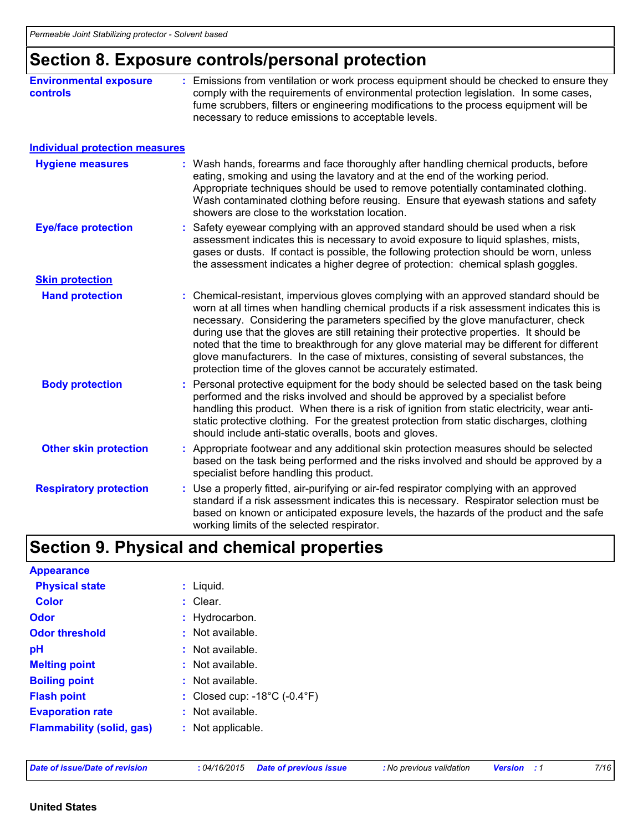## **Section 8. Exposure controls/personal protection**

| <b>Environmental exposure</b><br><b>controls</b> | : Emissions from ventilation or work process equipment should be checked to ensure they<br>comply with the requirements of environmental protection legislation. In some cases,<br>fume scrubbers, filters or engineering modifications to the process equipment will be<br>necessary to reduce emissions to acceptable levels.                                                                                                                                                                                                                                                                                        |
|--------------------------------------------------|------------------------------------------------------------------------------------------------------------------------------------------------------------------------------------------------------------------------------------------------------------------------------------------------------------------------------------------------------------------------------------------------------------------------------------------------------------------------------------------------------------------------------------------------------------------------------------------------------------------------|
| <b>Individual protection measures</b>            |                                                                                                                                                                                                                                                                                                                                                                                                                                                                                                                                                                                                                        |
| <b>Hygiene measures</b>                          | : Wash hands, forearms and face thoroughly after handling chemical products, before<br>eating, smoking and using the lavatory and at the end of the working period.<br>Appropriate techniques should be used to remove potentially contaminated clothing.<br>Wash contaminated clothing before reusing. Ensure that eyewash stations and safety<br>showers are close to the workstation location.                                                                                                                                                                                                                      |
| <b>Eye/face protection</b>                       | : Safety eyewear complying with an approved standard should be used when a risk<br>assessment indicates this is necessary to avoid exposure to liquid splashes, mists,<br>gases or dusts. If contact is possible, the following protection should be worn, unless<br>the assessment indicates a higher degree of protection: chemical splash goggles.                                                                                                                                                                                                                                                                  |
| <b>Skin protection</b>                           |                                                                                                                                                                                                                                                                                                                                                                                                                                                                                                                                                                                                                        |
| <b>Hand protection</b>                           | : Chemical-resistant, impervious gloves complying with an approved standard should be<br>worn at all times when handling chemical products if a risk assessment indicates this is<br>necessary. Considering the parameters specified by the glove manufacturer, check<br>during use that the gloves are still retaining their protective properties. It should be<br>noted that the time to breakthrough for any glove material may be different for different<br>glove manufacturers. In the case of mixtures, consisting of several substances, the<br>protection time of the gloves cannot be accurately estimated. |
| <b>Body protection</b>                           | : Personal protective equipment for the body should be selected based on the task being<br>performed and the risks involved and should be approved by a specialist before<br>handling this product. When there is a risk of ignition from static electricity, wear anti-<br>static protective clothing. For the greatest protection from static discharges, clothing<br>should include anti-static overalls, boots and gloves.                                                                                                                                                                                         |
| <b>Other skin protection</b>                     | : Appropriate footwear and any additional skin protection measures should be selected<br>based on the task being performed and the risks involved and should be approved by a<br>specialist before handling this product.                                                                                                                                                                                                                                                                                                                                                                                              |
| <b>Respiratory protection</b>                    | : Use a properly fitted, air-purifying or air-fed respirator complying with an approved<br>standard if a risk assessment indicates this is necessary. Respirator selection must be<br>based on known or anticipated exposure levels, the hazards of the product and the safe<br>working limits of the selected respirator.                                                                                                                                                                                                                                                                                             |

# **Section 9. Physical and chemical properties**

| $:$ Liquid.                                       |
|---------------------------------------------------|
| : Clear.                                          |
| : Hydrocarbon.                                    |
| : Not available.                                  |
| : Not available.                                  |
| : Not available.                                  |
| : Not available.                                  |
| : Closed cup: $-18^{\circ}$ C ( $-0.4^{\circ}$ F) |
| : Not available.                                  |
| : Not applicable.                                 |
|                                                   |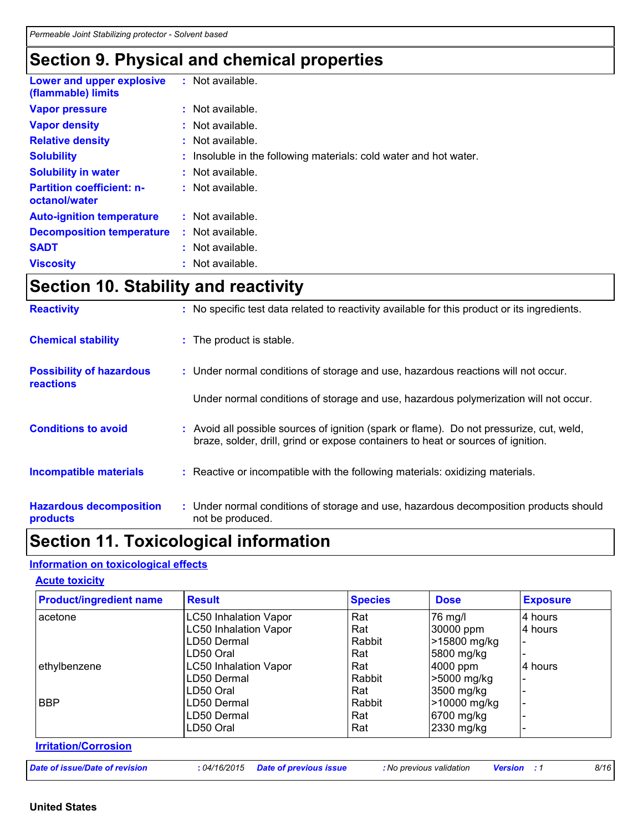# **Section 9. Physical and chemical properties**

| Lower and upper explosive<br>(flammable) limits   | : Not available.                                                  |
|---------------------------------------------------|-------------------------------------------------------------------|
| <b>Vapor pressure</b>                             | $:$ Not available.                                                |
| <b>Vapor density</b>                              | $\therefore$ Not available.                                       |
| <b>Relative density</b>                           | $:$ Not available.                                                |
| <b>Solubility</b>                                 | : Insoluble in the following materials: cold water and hot water. |
| <b>Solubility in water</b>                        | : Not available.                                                  |
| <b>Partition coefficient: n-</b><br>octanol/water | $:$ Not available.                                                |
| <b>Auto-ignition temperature</b>                  | $:$ Not available.                                                |
| <b>Decomposition temperature</b>                  | $:$ Not available.                                                |
| <b>SADT</b>                                       | $:$ Not available.                                                |
| <b>Viscosity</b>                                  | $:$ Not available.                                                |

# **Section 10. Stability and reactivity**

| <b>Reactivity</b>                                   | : No specific test data related to reactivity available for this product or its ingredients.                                                                                 |
|-----------------------------------------------------|------------------------------------------------------------------------------------------------------------------------------------------------------------------------------|
| <b>Chemical stability</b>                           | : The product is stable.                                                                                                                                                     |
| <b>Possibility of hazardous</b><br><b>reactions</b> | : Under normal conditions of storage and use, hazardous reactions will not occur.                                                                                            |
|                                                     | Under normal conditions of storage and use, hazardous polymerization will not occur.                                                                                         |
| <b>Conditions to avoid</b>                          | : Avoid all possible sources of ignition (spark or flame). Do not pressurize, cut, weld,<br>braze, solder, drill, grind or expose containers to heat or sources of ignition. |
| <b>Incompatible materials</b>                       | : Reactive or incompatible with the following materials: oxidizing materials.                                                                                                |
| <b>Hazardous decomposition</b><br>products          | : Under normal conditions of storage and use, hazardous decomposition products should<br>not be produced.                                                                    |

# **Section 11. Toxicological information**

#### **Information on toxicological effects**

#### **Acute toxicity**

| <b>Product/ingredient name</b> | <b>Result</b>                | <b>Species</b> | <b>Dose</b>  | <b>Exposure</b> |
|--------------------------------|------------------------------|----------------|--------------|-----------------|
| acetone                        | <b>LC50 Inhalation Vapor</b> | Rat            | $76$ mg/     | 4 hours         |
|                                | <b>LC50 Inhalation Vapor</b> | Rat            | 30000 ppm    | 4 hours         |
|                                | LD50 Dermal                  | Rabbit         | >15800 mg/kg |                 |
|                                | LD50 Oral                    | Rat            | 5800 mg/kg   |                 |
| ethylbenzene                   | <b>LC50 Inhalation Vapor</b> | Rat            | 4000 ppm     | 4 hours         |
|                                | LD50 Dermal                  | Rabbit         | >5000 mg/kg  |                 |
|                                | LD50 Oral                    | Rat            | 3500 mg/kg   |                 |
| <b>BBP</b>                     | LD50 Dermal                  | Rabbit         | >10000 mg/kg |                 |
|                                | LD50 Dermal                  | Rat            | 6700 mg/kg   |                 |
|                                | LD50 Oral                    | Rat            | 2330 mg/kg   |                 |

#### **Irritation/Corrosion**

| Date of issue/Date of revision | : 04/16/2015 Date of previous issue | : No previous validation | <b>Version</b> : 1 | 8/16 |
|--------------------------------|-------------------------------------|--------------------------|--------------------|------|
|--------------------------------|-------------------------------------|--------------------------|--------------------|------|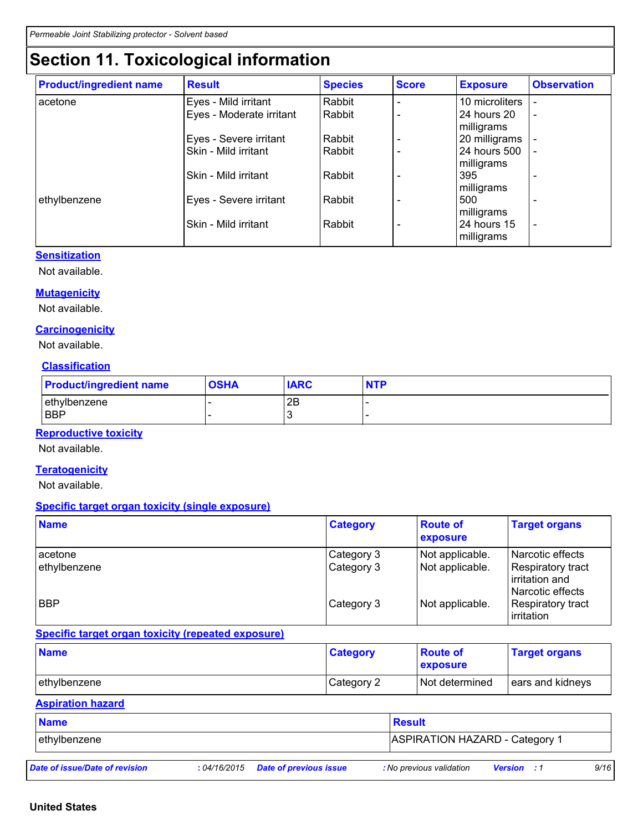# **Section 11. Toxicological information**

| <b>Product/ingredient name</b> | <b>Result</b>            | <b>Species</b> | <b>Score</b> | <b>Exposure</b> | <b>Observation</b>       |
|--------------------------------|--------------------------|----------------|--------------|-----------------|--------------------------|
| acetone                        | Eyes - Mild irritant     | Rabbit         |              | 10 microliters  |                          |
|                                | Eyes - Moderate irritant | Rabbit         |              | 24 hours 20     |                          |
|                                |                          |                |              | milligrams      |                          |
|                                | Eyes - Severe irritant   | Rabbit         |              | 20 milligrams   |                          |
|                                | Skin - Mild irritant     | Rabbit         |              | 24 hours 500    |                          |
|                                |                          |                |              | milligrams      |                          |
|                                | Skin - Mild irritant     | Rabbit         |              | 395             |                          |
|                                |                          |                |              | milligrams      |                          |
| ethylbenzene                   | Eyes - Severe irritant   | Rabbit         |              | 500             |                          |
|                                |                          |                |              | milligrams      |                          |
|                                | Skin - Mild irritant     | Rabbit         |              | 24 hours 15     | $\overline{\phantom{a}}$ |
|                                |                          |                |              | milligrams      |                          |

#### **Sensitization**

Not available.

#### **Mutagenicity**

Not available.

#### **Carcinogenicity**

Not available.

#### **Classification**

| <b>Product/ingredient name</b> | <b>OSHA</b> | <b>IARC</b> | <b>NTP</b> |
|--------------------------------|-------------|-------------|------------|
| ethylbenzene                   |             | 2B          |            |
| <b>BBP</b>                     |             | ັ           |            |

#### **Reproductive toxicity**

Not available.

#### **Teratogenicity**

Not available.

#### **Specific target organ toxicity (single exposure)**

| <b>Name</b>             | <b>Category</b>          | <b>Route of</b><br>exposure        | <b>Target organs</b>                                                                 |
|-------------------------|--------------------------|------------------------------------|--------------------------------------------------------------------------------------|
| acetone<br>ethylbenzene | Category 3<br>Category 3 | Not applicable.<br>Not applicable. | Narcotic effects<br><b>Respiratory tract</b><br>irritation and<br>l Narcotic effects |
| <b>BBP</b>              | Category 3               | Not applicable.                    | Respiratory tract<br>irritation                                                      |

#### **Specific target organ toxicity (repeated exposure)**

| <b>Name</b>  | <b>Category</b> | <b>Route of</b><br><b>Exposure</b> | <b>Target organs</b> |
|--------------|-----------------|------------------------------------|----------------------|
| ethylbenzene | Category 2      | Not determined                     | ears and kidneys     |

#### **Aspiration hazard**

| <b>Name</b>                    |              |                               | Result                                |                    |      |  |  |
|--------------------------------|--------------|-------------------------------|---------------------------------------|--------------------|------|--|--|
| ethylbenzene                   |              |                               | <b>ASPIRATION HAZARD - Category 1</b> |                    |      |  |  |
| Date of issue/Date of revision | : 04/16/2015 | <b>Date of previous issue</b> | : No previous validation              | <b>Version</b> : 1 | 9/16 |  |  |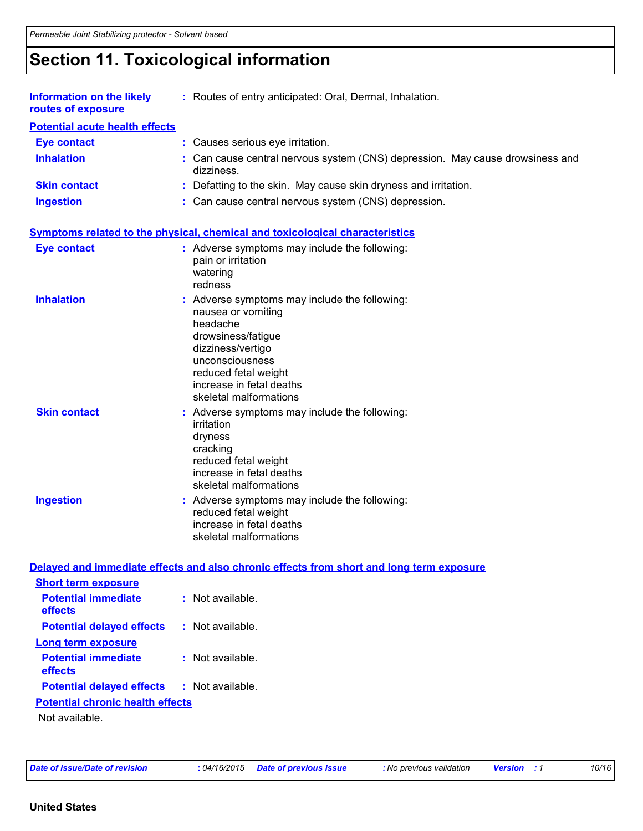# **Section 11. Toxicological information**

| <b>Information on the likely</b><br>routes of exposure | : Routes of entry anticipated: Oral, Dermal, Inhalation.                                                                                                                                                                    |
|--------------------------------------------------------|-----------------------------------------------------------------------------------------------------------------------------------------------------------------------------------------------------------------------------|
| <b>Potential acute health effects</b>                  |                                                                                                                                                                                                                             |
| <b>Eye contact</b>                                     | : Causes serious eye irritation.                                                                                                                                                                                            |
| <b>Inhalation</b>                                      | : Can cause central nervous system (CNS) depression. May cause drowsiness and<br>dizziness.                                                                                                                                 |
| <b>Skin contact</b>                                    | : Defatting to the skin. May cause skin dryness and irritation.                                                                                                                                                             |
| <b>Ingestion</b>                                       | : Can cause central nervous system (CNS) depression.                                                                                                                                                                        |
|                                                        | <b>Symptoms related to the physical, chemical and toxicological characteristics</b>                                                                                                                                         |
| <b>Eye contact</b>                                     | : Adverse symptoms may include the following:<br>pain or irritation<br>watering<br>redness                                                                                                                                  |
| <b>Inhalation</b>                                      | : Adverse symptoms may include the following:<br>nausea or vomiting<br>headache<br>drowsiness/fatigue<br>dizziness/vertigo<br>unconsciousness<br>reduced fetal weight<br>increase in fetal deaths<br>skeletal malformations |
| <b>Skin contact</b>                                    | : Adverse symptoms may include the following:<br>irritation<br>dryness<br>cracking<br>reduced fetal weight<br>increase in fetal deaths<br>skeletal malformations                                                            |
| <b>Ingestion</b>                                       | : Adverse symptoms may include the following:<br>reduced fetal weight<br>increase in fetal deaths<br>skeletal malformations                                                                                                 |
|                                                        | Delayed and immediate effects and also chronic effects from short and long term exposure                                                                                                                                    |
| <b>Short term exposure</b>                             |                                                                                                                                                                                                                             |
| <b>Potential immediate</b><br>effects                  | : Not available.                                                                                                                                                                                                            |
| <b>Potential delayed effects</b>                       | : Not available.                                                                                                                                                                                                            |
| Long term exposure                                     |                                                                                                                                                                                                                             |
| <b>Potential immediate</b><br>effects                  | : Not available.                                                                                                                                                                                                            |
| <b>Potential delayed effects</b>                       | : Not available.                                                                                                                                                                                                            |
| <b>Potential chronic health effects</b>                |                                                                                                                                                                                                                             |
| Not available.                                         |                                                                                                                                                                                                                             |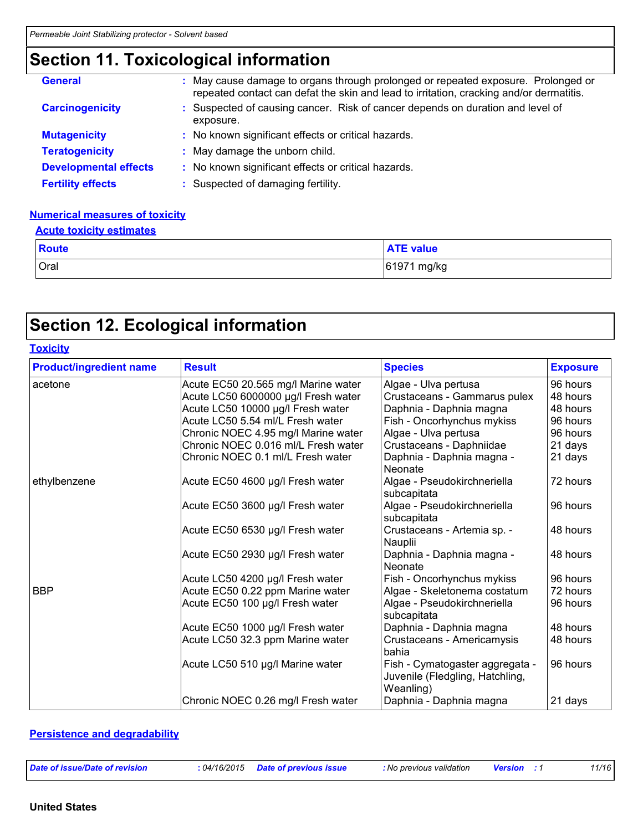# **Section 11. Toxicological information**

| <b>General</b>               | : May cause damage to organs through prolonged or repeated exposure. Prolonged or<br>repeated contact can defat the skin and lead to irritation, cracking and/or dermatitis. |
|------------------------------|------------------------------------------------------------------------------------------------------------------------------------------------------------------------------|
| <b>Carcinogenicity</b>       | : Suspected of causing cancer. Risk of cancer depends on duration and level of<br>exposure.                                                                                  |
| <b>Mutagenicity</b>          | : No known significant effects or critical hazards.                                                                                                                          |
| <b>Teratogenicity</b>        | : May damage the unborn child.                                                                                                                                               |
| <b>Developmental effects</b> | : No known significant effects or critical hazards.                                                                                                                          |
| <b>Fertility effects</b>     | : Suspected of damaging fertility.                                                                                                                                           |

#### **Numerical measures of toxicity**

| <b>Acute toxicity estimates</b> |                  |
|---------------------------------|------------------|
| <b>Route</b>                    | <b>ATE value</b> |
| Oral                            | 61971 mg/kg      |

## **Section 12. Ecological information**

| <b>Toxicity</b>                |                                     |                                                                                 |                 |
|--------------------------------|-------------------------------------|---------------------------------------------------------------------------------|-----------------|
| <b>Product/ingredient name</b> | <b>Result</b>                       | <b>Species</b>                                                                  | <b>Exposure</b> |
| acetone                        | Acute EC50 20.565 mg/l Marine water | Algae - Ulva pertusa                                                            | 96 hours        |
|                                | Acute LC50 6000000 µg/l Fresh water | Crustaceans - Gammarus pulex                                                    | 48 hours        |
|                                | Acute LC50 10000 µg/l Fresh water   | Daphnia - Daphnia magna                                                         | 48 hours        |
|                                | Acute LC50 5.54 ml/L Fresh water    | Fish - Oncorhynchus mykiss                                                      | 96 hours        |
|                                | Chronic NOEC 4.95 mg/l Marine water | Algae - Ulva pertusa                                                            | 96 hours        |
|                                | Chronic NOEC 0.016 ml/L Fresh water | Crustaceans - Daphniidae                                                        | 21 days         |
|                                | Chronic NOEC 0.1 ml/L Fresh water   | Daphnia - Daphnia magna -<br>Neonate                                            | 21 days         |
| ethylbenzene                   | Acute EC50 4600 µg/l Fresh water    | Algae - Pseudokirchneriella<br>subcapitata                                      | 72 hours        |
|                                | Acute EC50 3600 µg/l Fresh water    | Algae - Pseudokirchneriella<br>subcapitata                                      | 96 hours        |
|                                | Acute EC50 6530 µg/l Fresh water    | Crustaceans - Artemia sp. -<br>Nauplii                                          | 48 hours        |
|                                | Acute EC50 2930 µg/l Fresh water    | Daphnia - Daphnia magna -<br>Neonate                                            | 48 hours        |
|                                | Acute LC50 4200 µg/l Fresh water    | Fish - Oncorhynchus mykiss                                                      | 96 hours        |
| <b>BBP</b>                     | Acute EC50 0.22 ppm Marine water    | Algae - Skeletonema costatum                                                    | 72 hours        |
|                                | Acute EC50 100 µg/l Fresh water     | Algae - Pseudokirchneriella<br>subcapitata                                      | 96 hours        |
|                                | Acute EC50 1000 µg/l Fresh water    | Daphnia - Daphnia magna                                                         | 48 hours        |
|                                | Acute LC50 32.3 ppm Marine water    | Crustaceans - Americamysis<br>bahia                                             | 48 hours        |
|                                | Acute LC50 510 µg/l Marine water    | Fish - Cymatogaster aggregata -<br>Juvenile (Fledgling, Hatchling,<br>Weanling) | 96 hours        |
|                                | Chronic NOEC 0.26 mg/l Fresh water  | Daphnia - Daphnia magna                                                         | 21 days         |

#### **Persistence and degradability**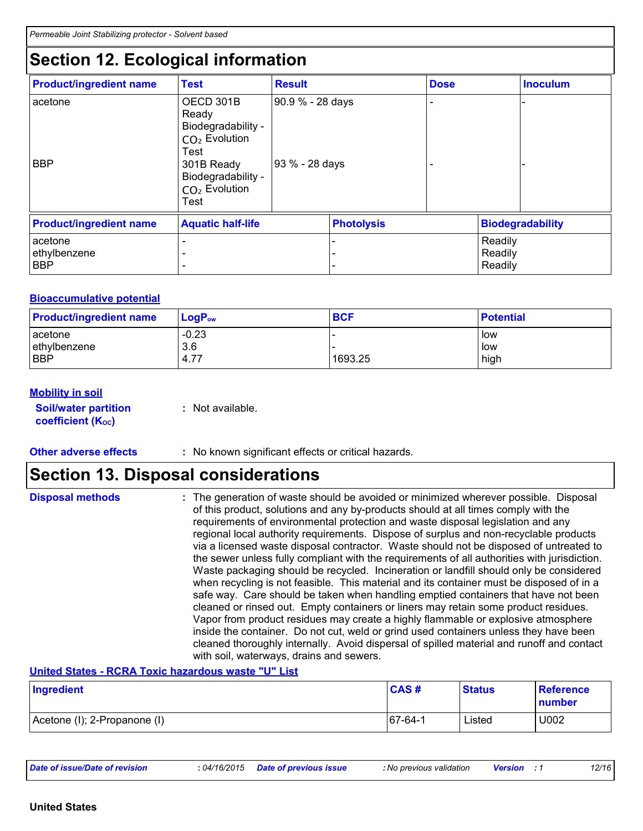# **Section 12. Ecological information**

| <b>Product/ingredient name</b>        | <b>Test</b>                                                                                                                                                   | <b>Result</b>                      |                   | <b>Dose</b> |                               | <b>Inoculum</b> |
|---------------------------------------|---------------------------------------------------------------------------------------------------------------------------------------------------------------|------------------------------------|-------------------|-------------|-------------------------------|-----------------|
| acetone<br><b>BBP</b>                 | OECD 301B<br>Ready<br>Biodegradability -<br>CO <sub>2</sub> Evolution<br>Test<br>301B Ready<br>Biodegradability -<br>CO <sub>2</sub> Evolution<br><b>Test</b> | 90.9 % - 28 days<br>93 % - 28 days |                   |             |                               |                 |
| <b>Product/ingredient name</b>        | <b>Aquatic half-life</b>                                                                                                                                      |                                    | <b>Photolysis</b> |             | <b>Biodegradability</b>       |                 |
| acetone<br>ethylbenzene<br><b>BBP</b> |                                                                                                                                                               |                                    | -                 |             | Readily<br>Readily<br>Readily |                 |

#### **Bioaccumulative potential**

| <b>Product/ingredient name</b> | $LogP_{ow}$ | <b>BCF</b> | <b>Potential</b> |
|--------------------------------|-------------|------------|------------------|
| acetone                        | $-0.23$     |            | low              |
| ethylbenzene                   | 3.6         |            | low              |
| <b>BBP</b>                     | 4.77        | 1693.25    | high             |

#### **Mobility in soil**

**Soil/water partition coefficient (Koc)** 

**:** Not available.

#### **Other adverse effects** : No known significant effects or critical hazards.

### **Section 13. Disposal considerations**

| <b>Disposal methods</b> | : The generation of waste should be avoided or minimized wherever possible. Disposal<br>of this product, solutions and any by-products should at all times comply with the<br>requirements of environmental protection and waste disposal legislation and any<br>regional local authority requirements. Dispose of surplus and non-recyclable products<br>via a licensed waste disposal contractor. Waste should not be disposed of untreated to<br>the sewer unless fully compliant with the requirements of all authorities with jurisdiction.<br>Waste packaging should be recycled. Incineration or landfill should only be considered<br>when recycling is not feasible. This material and its container must be disposed of in a<br>safe way. Care should be taken when handling emptied containers that have not been<br>cleaned or rinsed out. Empty containers or liners may retain some product residues.<br>Vapor from product residues may create a highly flammable or explosive atmosphere<br>inside the container. Do not cut, weld or grind used containers unless they have been |
|-------------------------|---------------------------------------------------------------------------------------------------------------------------------------------------------------------------------------------------------------------------------------------------------------------------------------------------------------------------------------------------------------------------------------------------------------------------------------------------------------------------------------------------------------------------------------------------------------------------------------------------------------------------------------------------------------------------------------------------------------------------------------------------------------------------------------------------------------------------------------------------------------------------------------------------------------------------------------------------------------------------------------------------------------------------------------------------------------------------------------------------|
|                         | cleaned thoroughly internally. Avoid dispersal of spilled material and runoff and contact<br>with soil, waterways, drains and sewers.                                                                                                                                                                                                                                                                                                                                                                                                                                                                                                                                                                                                                                                                                                                                                                                                                                                                                                                                                             |

**United States - RCRA Toxic hazardous waste "U" List**

| Ingredient                   | CAS#       | <b>Status</b> | <b>Reference</b><br>number |
|------------------------------|------------|---------------|----------------------------|
| Acetone (I); 2-Propanone (I) | $ 67-64-1$ | Listed        | U002                       |

| Date of issue/Date of revision | : 04/16/2015 Date of previous issue | : No previous validation | <b>Version</b> : 1 | 12/16 |
|--------------------------------|-------------------------------------|--------------------------|--------------------|-------|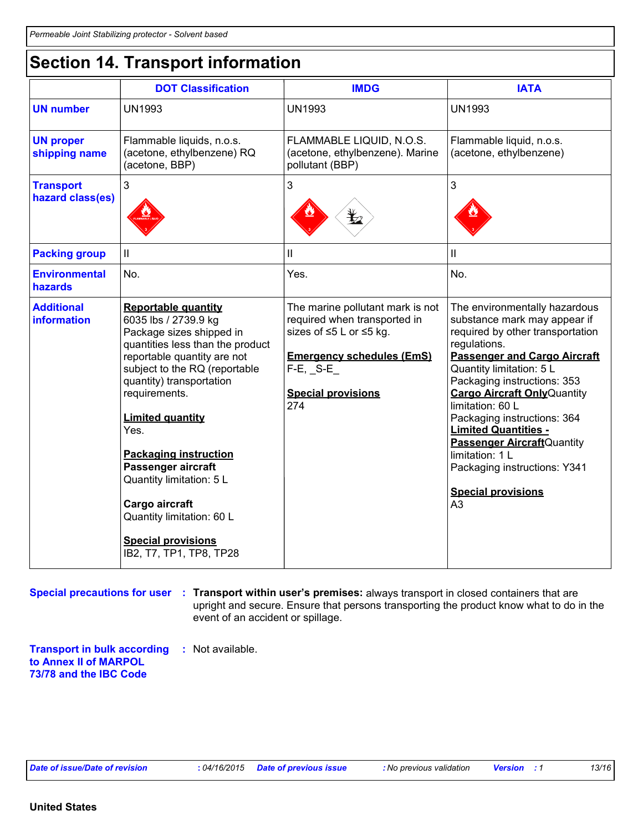# **Section 14. Transport information**

|                                         | <b>DOT Classification</b>                                                                                                                                                                                                                                                                                                                                                                                                                                   | <b>IMDG</b>                                                                                                                                                                          | <b>IATA</b>                                                                                                                                                                                                                                                                                                                                                                                                                                                                          |
|-----------------------------------------|-------------------------------------------------------------------------------------------------------------------------------------------------------------------------------------------------------------------------------------------------------------------------------------------------------------------------------------------------------------------------------------------------------------------------------------------------------------|--------------------------------------------------------------------------------------------------------------------------------------------------------------------------------------|--------------------------------------------------------------------------------------------------------------------------------------------------------------------------------------------------------------------------------------------------------------------------------------------------------------------------------------------------------------------------------------------------------------------------------------------------------------------------------------|
| <b>UN number</b>                        | <b>UN1993</b>                                                                                                                                                                                                                                                                                                                                                                                                                                               | <b>UN1993</b>                                                                                                                                                                        | <b>UN1993</b>                                                                                                                                                                                                                                                                                                                                                                                                                                                                        |
| <b>UN proper</b><br>shipping name       | Flammable liquids, n.o.s.<br>(acetone, ethylbenzene) RQ<br>(acetone, BBP)                                                                                                                                                                                                                                                                                                                                                                                   | FLAMMABLE LIQUID, N.O.S.<br>(acetone, ethylbenzene). Marine<br>pollutant (BBP)                                                                                                       | Flammable liquid, n.o.s.<br>(acetone, ethylbenzene)                                                                                                                                                                                                                                                                                                                                                                                                                                  |
| <b>Transport</b><br>hazard class(es)    | $\mathbf{3}$                                                                                                                                                                                                                                                                                                                                                                                                                                                | 3                                                                                                                                                                                    | 3                                                                                                                                                                                                                                                                                                                                                                                                                                                                                    |
| <b>Packing group</b>                    | $\ensuremath{\mathsf{II}}$                                                                                                                                                                                                                                                                                                                                                                                                                                  | Ш                                                                                                                                                                                    | Ш                                                                                                                                                                                                                                                                                                                                                                                                                                                                                    |
| <b>Environmental</b><br>hazards         | No.                                                                                                                                                                                                                                                                                                                                                                                                                                                         | Yes.                                                                                                                                                                                 | No.                                                                                                                                                                                                                                                                                                                                                                                                                                                                                  |
| <b>Additional</b><br><b>information</b> | <b>Reportable quantity</b><br>6035 lbs / 2739.9 kg<br>Package sizes shipped in<br>quantities less than the product<br>reportable quantity are not<br>subject to the RQ (reportable<br>quantity) transportation<br>requirements.<br><b>Limited quantity</b><br>Yes.<br><b>Packaging instruction</b><br>Passenger aircraft<br>Quantity limitation: 5 L<br>Cargo aircraft<br>Quantity limitation: 60 L<br><b>Special provisions</b><br>IB2, T7, TP1, TP8, TP28 | The marine pollutant mark is not<br>required when transported in<br>sizes of ≤5 L or ≤5 kg.<br><b>Emergency schedules (EmS)</b><br>$F-E$ , $S-E$<br><b>Special provisions</b><br>274 | The environmentally hazardous<br>substance mark may appear if<br>required by other transportation<br>regulations.<br><b>Passenger and Cargo Aircraft</b><br>Quantity limitation: 5 L<br>Packaging instructions: 353<br><b>Cargo Aircraft Only Quantity</b><br>limitation: 60 L<br>Packaging instructions: 364<br><b>Limited Quantities -</b><br><b>Passenger Aircraft</b> Quantity<br>limitation: 1 L<br>Packaging instructions: Y341<br><b>Special provisions</b><br>A <sub>3</sub> |

**Special precautions for user** : Transport within user's premises: always transport in closed containers that are upright and secure. Ensure that persons transporting the product know what to do in the event of an accident or spillage.

**Transport in bulk according :** Not available. **to Annex II of MARPOL 73/78 and the IBC Code**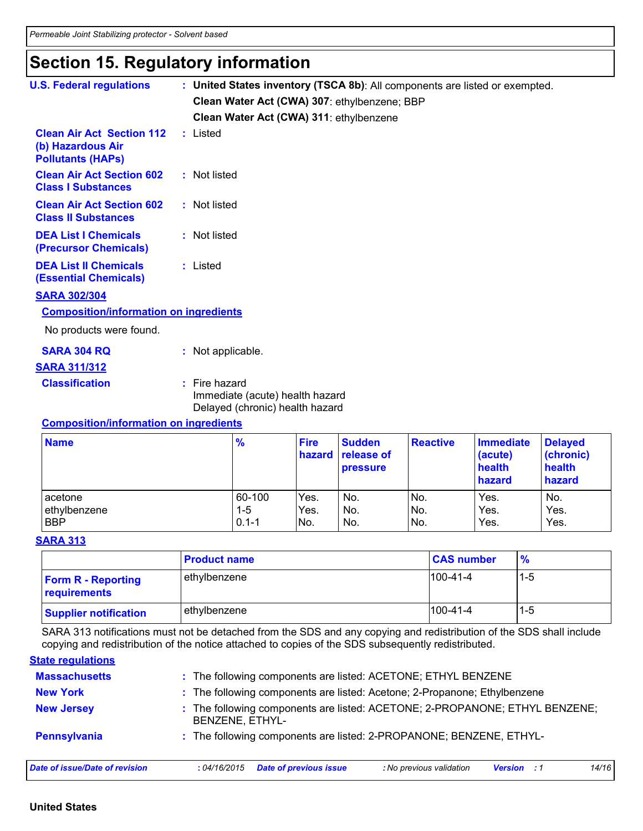# **Section 15. Regulatory information**

| <b>U.S. Federal regulations</b>                                                   | : United States inventory (TSCA 8b): All components are listed or exempted.           |
|-----------------------------------------------------------------------------------|---------------------------------------------------------------------------------------|
|                                                                                   | Clean Water Act (CWA) 307: ethylbenzene; BBP                                          |
|                                                                                   | Clean Water Act (CWA) 311: ethylbenzene                                               |
| <b>Clean Air Act Section 112</b><br>(b) Hazardous Air<br><b>Pollutants (HAPS)</b> | : Listed                                                                              |
| <b>Clean Air Act Section 602</b><br><b>Class I Substances</b>                     | : Not listed                                                                          |
| <b>Clean Air Act Section 602</b><br><b>Class II Substances</b>                    | : Not listed                                                                          |
| <b>DEA List I Chemicals</b><br>(Precursor Chemicals)                              | : Not listed                                                                          |
| <b>DEA List II Chemicals</b><br><b>(Essential Chemicals)</b>                      | : Listed                                                                              |
| <b>SARA 302/304</b>                                                               |                                                                                       |
| <b>Composition/information on ingredients</b>                                     |                                                                                       |
| No products were found.                                                           |                                                                                       |
| <b>SARA 304 RQ</b>                                                                | : Not applicable.                                                                     |
| <b>SARA 311/312</b>                                                               |                                                                                       |
| <b>Classification</b>                                                             | $:$ Fire hazard<br>Immediate (acute) health hazard<br>Delayed (chronic) health hazard |
| Composition information on inquadiante                                            |                                                                                       |

#### **Composition/information on ingredients**

| <b>Name</b>  | $\frac{9}{6}$ | <b>Fire</b> | <b>Sudden</b><br>hazard release of<br><b>pressure</b> | <b>Reactive</b> | <b>Immediate</b><br>(acute)<br>health<br>hazard | <b>Delayed</b><br>(chronic)<br>health<br>hazard |
|--------------|---------------|-------------|-------------------------------------------------------|-----------------|-------------------------------------------------|-------------------------------------------------|
| acetone      | 60-100        | Yes.        | No.                                                   | No.             | Yes.                                            | No.                                             |
| ethylbenzene | 1-5           | Yes.        | No.                                                   | No.             | Yes.                                            | Yes.                                            |
| <b>BBP</b>   | $0.1 - 1$     | No.         | No.                                                   | No.             | Yes.                                            | Yes.                                            |

#### **SARA 313**

|                                           | <b>Product name</b> | <b>CAS number</b> | $\frac{9}{6}$ |
|-------------------------------------------|---------------------|-------------------|---------------|
| <b>Form R - Reporting</b><br>requirements | ethylbenzene        | $100-41-4$        | $1 - 5$       |
| <b>Supplier notification</b>              | ethylbenzene        | $100-41-4$        | $1 - 5$       |

SARA 313 notifications must not be detached from the SDS and any copying and redistribution of the SDS shall include copying and redistribution of the notice attached to copies of the SDS subsequently redistributed.

#### **State regulations**

| <b>Massachusetts</b>           | : The following components are listed: ACETONE; ETHYL BENZENE                                           |
|--------------------------------|---------------------------------------------------------------------------------------------------------|
| <b>New York</b>                | : The following components are listed: Acetone; 2-Propanone; Ethylbenzene                               |
| <b>New Jersey</b>              | : The following components are listed: ACETONE; 2-PROPANONE; ETHYL BENZENE;<br>BENZENE, ETHYL-          |
| <b>Pennsylvania</b>            | : The following components are listed: 2-PROPANONE; BENZENE, ETHYL-                                     |
| Date of issue/Date of revision | <b>Date of previous issue</b><br>14/16<br>: No previous validation<br>:04/16/2015<br><b>Version</b> : 1 |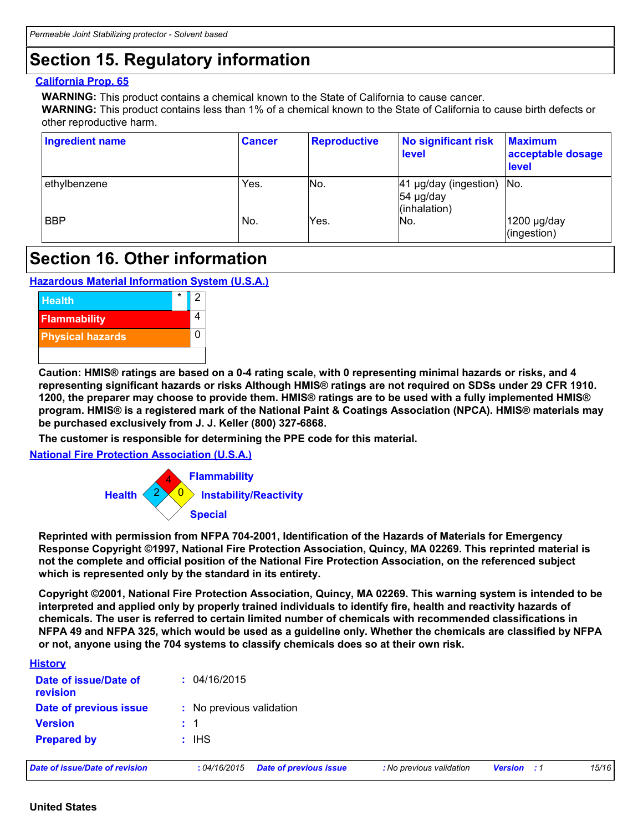# **Section 15. Regulatory information**

#### **California Prop. 65**

**WARNING:** This product contains a chemical known to the State of California to cause cancer.

**WARNING:** This product contains less than 1% of a chemical known to the State of California to cause birth defects or other reproductive harm.

| Ingredient name | <b>Cancer</b> | <b>Reproductive</b> | No significant risk<br>level                             | <b>Maximum</b><br>acceptable dosage<br><b>level</b> |
|-----------------|---------------|---------------------|----------------------------------------------------------|-----------------------------------------------------|
| ethylbenzene    | Yes.          | INo.                | 41 µg/day (ingestion)   No.<br>54 µg/day<br>(inhalation) |                                                     |
| <b>BBP</b>      | No.           | Yes.                | No.                                                      | $1200$ µg/day<br>(ingestion)                        |

### **Section 16. Other information**

**Hazardous Material Information System (U.S.A.)**



**Caution: HMIS® ratings are based on a 0-4 rating scale, with 0 representing minimal hazards or risks, and 4 representing significant hazards or risks Although HMIS® ratings are not required on SDSs under 29 CFR 1910. 1200, the preparer may choose to provide them. HMIS® ratings are to be used with a fully implemented HMIS® program. HMIS® is a registered mark of the National Paint & Coatings Association (NPCA). HMIS® materials may be purchased exclusively from J. J. Keller (800) 327-6868.**

**The customer is responsible for determining the PPE code for this material.**

**National Fire Protection Association (U.S.A.)**



**Reprinted with permission from NFPA 704-2001, Identification of the Hazards of Materials for Emergency Response Copyright ©1997, National Fire Protection Association, Quincy, MA 02269. This reprinted material is not the complete and official position of the National Fire Protection Association, on the referenced subject which is represented only by the standard in its entirety.**

**Copyright ©2001, National Fire Protection Association, Quincy, MA 02269. This warning system is intended to be interpreted and applied only by properly trained individuals to identify fire, health and reactivity hazards of chemicals. The user is referred to certain limited number of chemicals with recommended classifications in NFPA 49 and NFPA 325, which would be used as a guideline only. Whether the chemicals are classified by NFPA or not, anyone using the 704 systems to classify chemicals does so at their own risk.**

| <b>History</b>                        |                                              |                          |                    |       |
|---------------------------------------|----------------------------------------------|--------------------------|--------------------|-------|
| Date of issue/Date of<br>revision     | : 04/16/2015                                 |                          |                    |       |
| Date of previous issue                | : No previous validation                     |                          |                    |       |
| <b>Version</b>                        | $\pm$ 1                                      |                          |                    |       |
| <b>Prepared by</b>                    | $:$ IHS                                      |                          |                    |       |
| <b>Date of issue/Date of revision</b> | <b>Date of previous issue</b><br>:04/16/2015 | : No previous validation | <b>Version</b> : 1 | 15/16 |